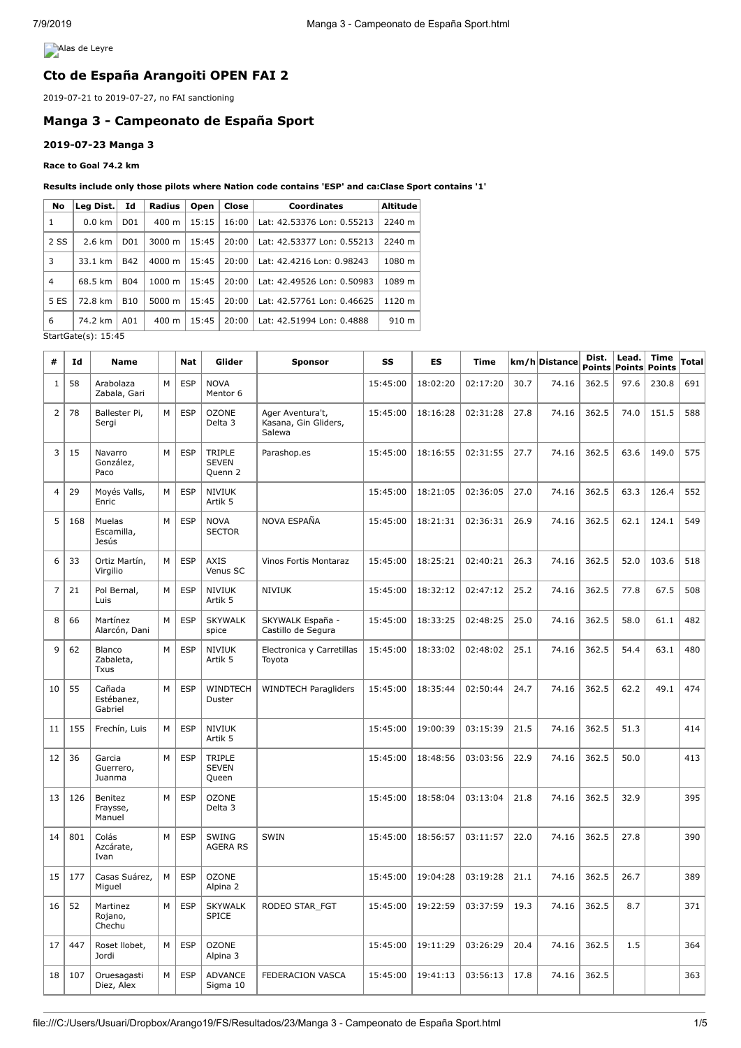**Alas de Leyre** 

# **Cto de España Arangoiti OPEN FAI 2**

2019-07-21 to 2019-07-27, no FAI sanctioning

# **Manga 3 - Campeonato de España Sport**

# **2019-07-23 Manga 3**

**Race to Goal 74.2 km**

### **Results include only those pilots where Nation code contains 'ESP' and ca:Clase Sport contains '1'**

| No             | Leg Dist.        | Id                                                                        | Radius          | Open   | Close | <b>Coordinates</b>         | <b>Altitude</b> |
|----------------|------------------|---------------------------------------------------------------------------|-----------------|--------|-------|----------------------------|-----------------|
| 1              | $0.0 \text{ km}$ | D <sub>0</sub> 1                                                          | $400 \text{ m}$ | 15:15  | 16:00 | Lat: 42.53376 Lon: 0.55213 | 2240 m          |
| 2 SS           | 2.6 km           | 20:00<br>3000 m<br>15:45<br>Lat: 42.53377 Lon: 0.55213<br>D <sub>01</sub> |                 | 2240 m |       |                            |                 |
| 3              | 33.1 km          | <b>B42</b>                                                                | 4000 m          | 15:45  | 20:00 | Lat: 42.4216 Lon: 0.98243  | 1080 m          |
| $\overline{4}$ | 68.5 km          | <b>B04</b>                                                                | 1000 m          | 15:45  | 20:00 | Lat: 42.49526 Lon: 0.50983 | 1089 m          |
| 5 ES           | 72.8 km          | <b>B10</b>                                                                | 5000 m          | 15:45  | 20:00 | Lat: 42.57761 Lon: 0.46625 | 1120 m          |
| 6              | 74.2 km          | A01                                                                       | $400 \text{ m}$ | 15:45  | 20:00 | Lat: 42.51994 Lon: 0.4888  | 910 m           |

StartGate(s): 15:45

| #              | Id  | <b>Name</b>                     |   | <b>Nat</b> | Glider                             | <b>Sponsor</b>                                     | SS       | ES       | <b>Time</b> |      | km/h Distance | Dist. | Lead.<br>Points Points | <b>Time</b><br>Points | <b>Total</b> |
|----------------|-----|---------------------------------|---|------------|------------------------------------|----------------------------------------------------|----------|----------|-------------|------|---------------|-------|------------------------|-----------------------|--------------|
| $\mathbf{1}$   | 58  | Arabolaza<br>Zabala, Gari       | M | <b>ESP</b> | <b>NOVA</b><br>Mentor 6            |                                                    | 15:45:00 | 18:02:20 | 02:17:20    | 30.7 | 74.16         | 362.5 | 97.6                   | 230.8                 | 691          |
| $\overline{2}$ | 78  | Ballester Pi,<br>Sergi          | M | <b>ESP</b> | <b>OZONE</b><br>Delta <sub>3</sub> | Ager Aventura't,<br>Kasana, Gin Gliders,<br>Salewa | 15:45:00 | 18:16:28 | 02:31:28    | 27.8 | 74.16         | 362.5 | 74.0                   | 151.5                 | 588          |
| 3              | 15  | Navarro<br>González,<br>Paco    | M | <b>ESP</b> | TRIPLE<br><b>SEVEN</b><br>Quenn 2  | Parashop.es                                        | 15:45:00 | 18:16:55 | 02:31:55    | 27.7 | 74.16         | 362.5 | 63.6                   | 149.0                 | 575          |
| $\overline{4}$ | 29  | Moyés Valls,<br>Enric           | M | <b>ESP</b> | <b>NIVIUK</b><br>Artik 5           |                                                    | 15:45:00 | 18:21:05 | 02:36:05    | 27.0 | 74.16         | 362.5 | 63.3                   | 126.4                 | 552          |
| 5              | 168 | Muelas<br>Escamilla,<br>Jesús   | M | <b>ESP</b> | <b>NOVA</b><br><b>SECTOR</b>       | NOVA ESPAÑA                                        | 15:45:00 | 18:21:31 | 02:36:31    | 26.9 | 74.16         | 362.5 | 62.1                   | 124.1                 | 549          |
| 6              | 33  | Ortiz Martín,<br>Virgilio       | М | <b>ESP</b> | <b>AXIS</b><br>Venus SC            | Vinos Fortis Montaraz                              | 15:45:00 | 18:25:21 | 02:40:21    | 26.3 | 74.16         | 362.5 | 52.0                   | 103.6                 | 518          |
| $\overline{7}$ | 21  | Pol Bernal,<br>Luis             | M | <b>ESP</b> | <b>NIVIUK</b><br>Artik 5           | <b>NIVIUK</b>                                      | 15:45:00 | 18:32:12 | 02:47:12    | 25.2 | 74.16         | 362.5 | 77.8                   | 67.5                  | 508          |
| 8              | 66  | Martínez<br>Alarcón, Dani       | M | <b>ESP</b> | <b>SKYWALK</b><br>spice            | SKYWALK España -<br>Castillo de Segura             | 15:45:00 | 18:33:25 | 02:48:25    | 25.0 | 74.16         | 362.5 | 58.0                   | 61.1                  | 482          |
| 9              | 62  | Blanco<br>Zabaleta,<br>Txus     | М | <b>ESP</b> | <b>NIVIUK</b><br>Artik 5           | Electronica y Carretillas<br>Toyota                | 15:45:00 | 18:33:02 | 02:48:02    | 25.1 | 74.16         | 362.5 | 54.4                   | 63.1                  | 480          |
| 10             | 55  | Cañada<br>Estébanez,<br>Gabriel | M | <b>ESP</b> | WINDTECH<br>Duster                 | <b>WINDTECH Paragliders</b>                        | 15:45:00 | 18:35:44 | 02:50:44    | 24.7 | 74.16         | 362.5 | 62.2                   | 49.1                  | 474          |
| 11             | 155 | Frechín, Luis                   | M | <b>ESP</b> | <b>NIVIUK</b><br>Artik 5           |                                                    | 15:45:00 | 19:00:39 | 03:15:39    | 21.5 | 74.16         | 362.5 | 51.3                   |                       | 414          |
| 12             | 36  | Garcia<br>Guerrero,<br>Juanma   | M | <b>ESP</b> | TRIPLE<br><b>SEVEN</b><br>Queen    |                                                    | 15:45:00 | 18:48:56 | 03:03:56    | 22.9 | 74.16         | 362.5 | 50.0                   |                       | 413          |
| 13             | 126 | Benitez<br>Fraysse,<br>Manuel   | M | <b>ESP</b> | <b>OZONE</b><br>Delta 3            |                                                    | 15:45:00 | 18:58:04 | 03:13:04    | 21.8 | 74.16         | 362.5 | 32.9                   |                       | 395          |
| 14             | 801 | Colás<br>Azcárate,<br>Ivan      | M | <b>ESP</b> | <b>SWING</b><br><b>AGERA RS</b>    | SWIN                                               | 15:45:00 | 18:56:57 | 03:11:57    | 22.0 | 74.16         | 362.5 | 27.8                   |                       | 390          |
| 15             | 177 | Casas Suárez,<br>Miguel         | M | <b>ESP</b> | <b>OZONE</b><br>Alpina 2           |                                                    | 15:45:00 | 19:04:28 | 03:19:28    | 21.1 | 74.16         | 362.5 | 26.7                   |                       | 389          |
| 16             | 52  | Martinez<br>Rojano,<br>Chechu   | M | <b>ESP</b> | <b>SKYWALK</b><br><b>SPICE</b>     | RODEO STAR_FGT                                     | 15:45:00 | 19:22:59 | 03:37:59    | 19.3 | 74.16         | 362.5 | 8.7                    |                       | 371          |
| 17             | 447 | Roset Ilobet,<br>Jordi          | M | <b>ESP</b> | <b>OZONE</b><br>Alpina 3           |                                                    | 15:45:00 | 19:11:29 | 03:26:29    | 20.4 | 74.16         | 362.5 | 1.5                    |                       | 364          |
| 18             | 107 | Oruesagasti<br>Diez, Alex       | M | <b>ESP</b> | <b>ADVANCE</b><br>Sigma 10         | FEDERACION VASCA                                   | 15:45:00 | 19:41:13 | 03:56:13    | 17.8 | 74.16         | 362.5 |                        |                       | 363          |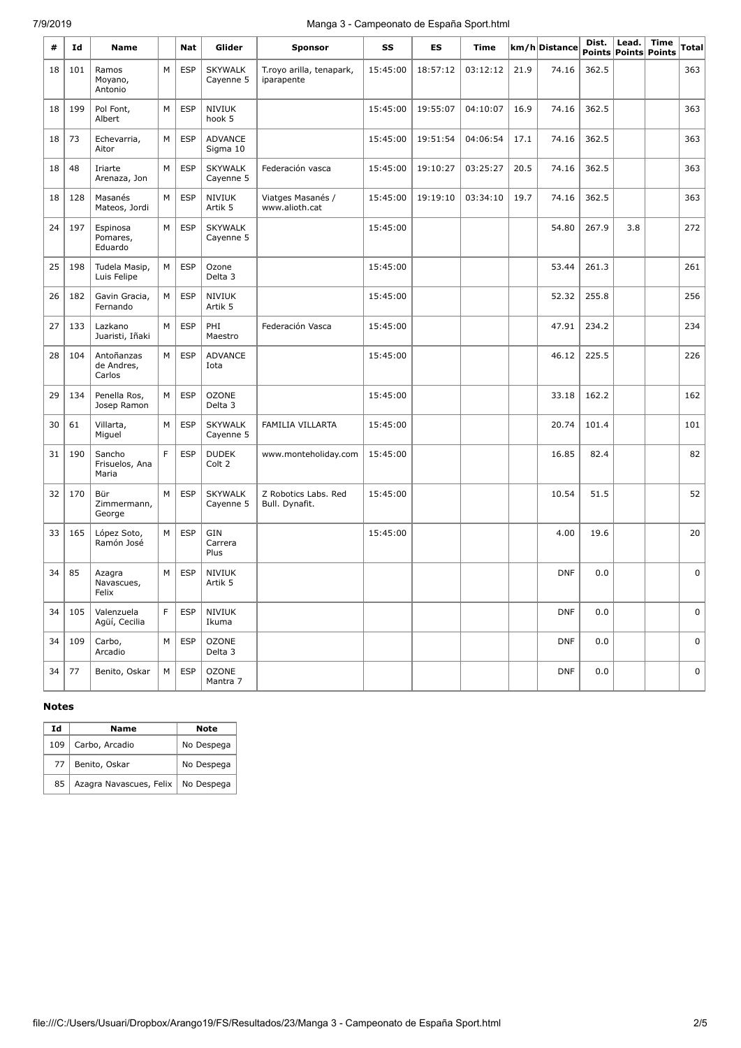# 7/9/2019 Manga 3 - Campeonato de España Sport.html

| #  | Id  | <b>Name</b>                        |   | Nat        | Glider                      | Sponsor                                | SS       | ES       | Time     |      | km/h Distance | Dist. | Lead. | <b>Time</b><br>Points Points Points | Total |
|----|-----|------------------------------------|---|------------|-----------------------------|----------------------------------------|----------|----------|----------|------|---------------|-------|-------|-------------------------------------|-------|
| 18 | 101 | Ramos<br>Moyano,<br>Antonio        | M | <b>ESP</b> | <b>SKYWALK</b><br>Cayenne 5 | T.royo arilla, tenapark,<br>iparapente | 15:45:00 | 18:57:12 | 03:12:12 | 21.9 | 74.16         | 362.5 |       |                                     | 363   |
| 18 | 199 | Pol Font,<br>Albert                | М | <b>ESP</b> | <b>NIVIUK</b><br>hook 5     |                                        | 15:45:00 | 19:55:07 | 04:10:07 | 16.9 | 74.16         | 362.5 |       |                                     | 363   |
| 18 | 73  | Echevarria,<br>Aitor               | M | <b>ESP</b> | <b>ADVANCE</b><br>Sigma 10  |                                        | 15:45:00 | 19:51:54 | 04:06:54 | 17.1 | 74.16         | 362.5 |       |                                     | 363   |
| 18 | 48  | Iriarte<br>Arenaza, Jon            | М | <b>ESP</b> | <b>SKYWALK</b><br>Cayenne 5 | Federación vasca                       | 15:45:00 | 19:10:27 | 03:25:27 | 20.5 | 74.16         | 362.5 |       |                                     | 363   |
| 18 | 128 | Masanés<br>Mateos, Jordi           | M | <b>ESP</b> | <b>NIVIUK</b><br>Artik 5    | Viatges Masanés /<br>www.alioth.cat    | 15:45:00 | 19:19:10 | 03:34:10 | 19.7 | 74.16         | 362.5 |       |                                     | 363   |
| 24 | 197 | Espinosa<br>Pomares,<br>Eduardo    | M | <b>ESP</b> | <b>SKYWALK</b><br>Cayenne 5 |                                        | 15:45:00 |          |          |      | 54.80         | 267.9 | 3.8   |                                     | 272   |
| 25 | 198 | Tudela Masip,<br>Luis Felipe       | M | <b>ESP</b> | Ozone<br>Delta 3            |                                        | 15:45:00 |          |          |      | 53.44         | 261.3 |       |                                     | 261   |
| 26 | 182 | Gavin Gracia,<br>Fernando          | M | <b>ESP</b> | <b>NIVIUK</b><br>Artik 5    |                                        | 15:45:00 |          |          |      | 52.32         | 255.8 |       |                                     | 256   |
| 27 | 133 | Lazkano<br>Juaristi, Iñaki         | M | <b>ESP</b> | PHI<br>Maestro              | Federación Vasca                       | 15:45:00 |          |          |      | 47.91         | 234.2 |       |                                     | 234   |
| 28 | 104 | Antoñanzas<br>de Andres,<br>Carlos | M | <b>ESP</b> | <b>ADVANCE</b><br>Iota      |                                        | 15:45:00 |          |          |      | 46.12         | 225.5 |       |                                     | 226   |
| 29 | 134 | Penella Ros,<br>Josep Ramon        | M | <b>ESP</b> | <b>OZONE</b><br>Delta 3     |                                        | 15:45:00 |          |          |      | 33.18         | 162.2 |       |                                     | 162   |
| 30 | 61  | Villarta,<br>Miguel                | M | <b>ESP</b> | <b>SKYWALK</b><br>Cayenne 5 | FAMILIA VILLARTA                       | 15:45:00 |          |          |      | 20.74         | 101.4 |       |                                     | 101   |
| 31 | 190 | Sancho<br>Frisuelos, Ana<br>Maria  | F | <b>ESP</b> | <b>DUDEK</b><br>Colt 2      | www.monteholiday.com                   | 15:45:00 |          |          |      | 16.85         | 82.4  |       |                                     | 82    |
| 32 | 170 | Bür<br>Zimmermann,<br>George       | M | <b>ESP</b> | <b>SKYWALK</b><br>Cayenne 5 | Z Robotics Labs. Red<br>Bull. Dynafit. | 15:45:00 |          |          |      | 10.54         | 51.5  |       |                                     | 52    |
| 33 | 165 | López Soto,<br>Ramón José          | М | <b>ESP</b> | GIN<br>Carrera<br>Plus      |                                        | 15:45:00 |          |          |      | 4.00          | 19.6  |       |                                     | 20    |
| 34 | 85  | Azagra<br>Navascues,<br>Felix      | M | ESP        | <b>NIVIUK</b><br>Artik 5    |                                        |          |          |          |      | <b>DNF</b>    | 0.0   |       |                                     | 0     |
| 34 | 105 | Valenzuela<br>Agüí, Cecilia        | F | <b>ESP</b> | <b>NIVIUK</b><br>Ikuma      |                                        |          |          |          |      | <b>DNF</b>    | 0.0   |       |                                     | 0     |
| 34 | 109 | Carbo,<br>Arcadio                  | М | <b>ESP</b> | <b>OZONE</b><br>Delta 3     |                                        |          |          |          |      | <b>DNF</b>    | 0.0   |       |                                     | 0     |
| 34 | 77  | Benito, Oskar                      | М | ESP        | <b>OZONE</b><br>Mantra 7    |                                        |          |          |          |      | <b>DNF</b>    | 0.0   |       |                                     | 0     |

#### **Notes**

| Ιd  | Name                    | <b>Note</b> |
|-----|-------------------------|-------------|
| 109 | Carbo, Arcadio          | No Despega  |
| 77  | Benito, Oskar           | No Despega  |
| 85  | Azagra Navascues, Felix | No Despega  |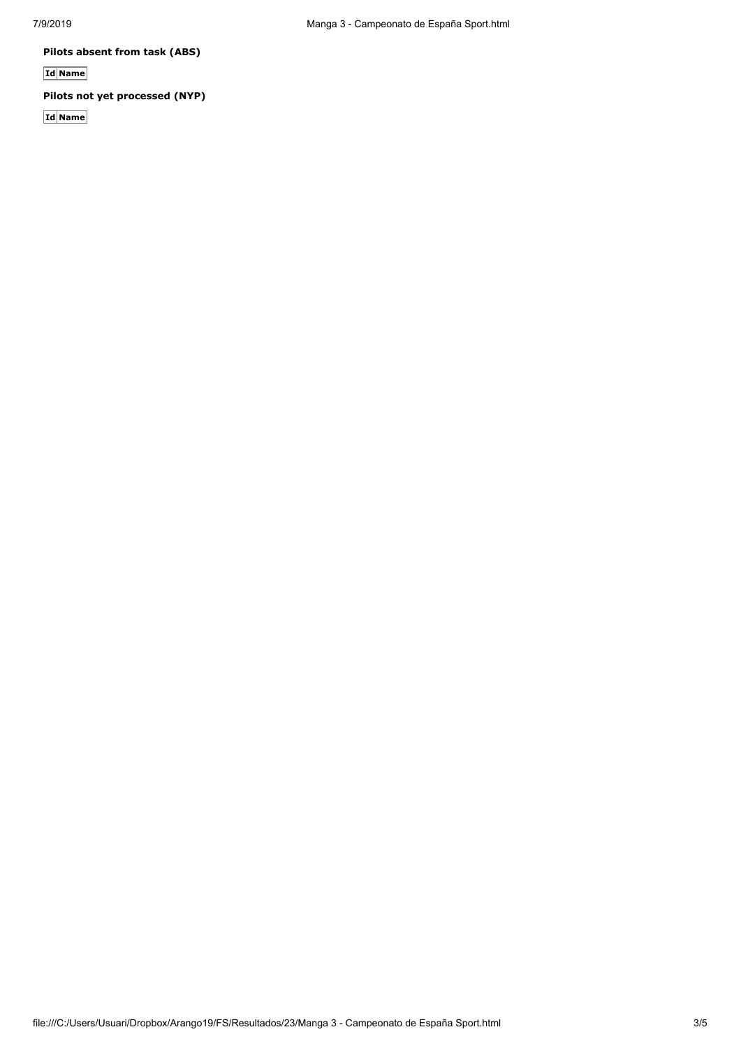**Pilots absent from task (ABS)**

**Id Name**

# **Pilots not yet processed (NYP)**

**Id Name**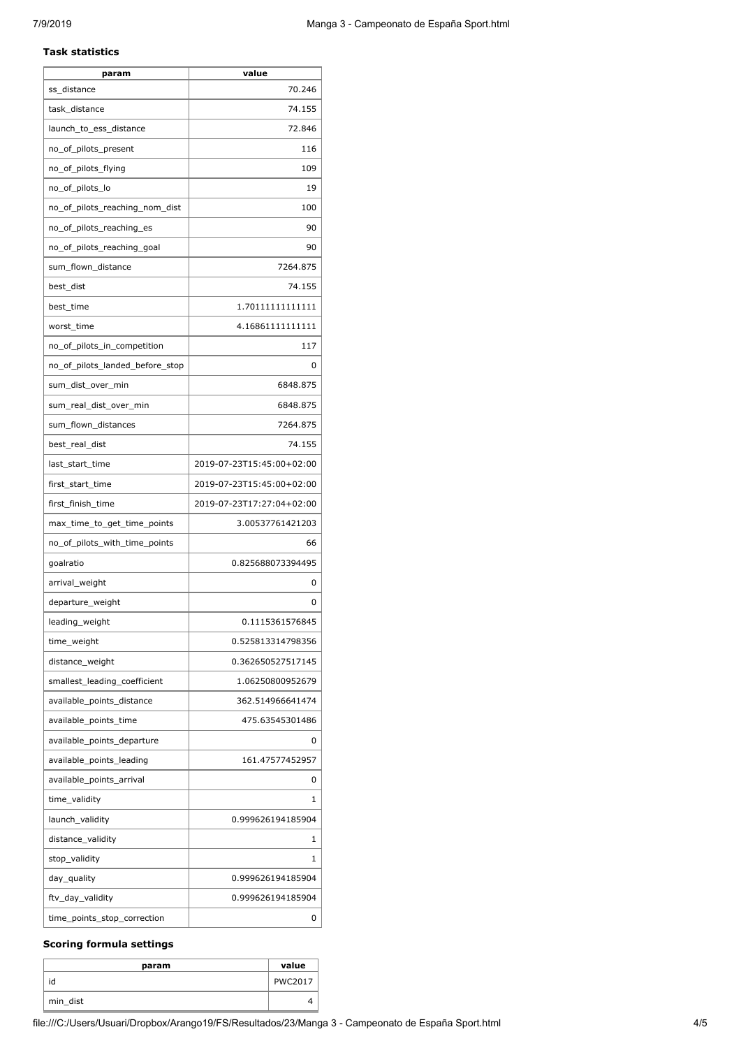#### **Task statistics**

| param                           | value                     |
|---------------------------------|---------------------------|
| ss_distance                     | 70.246                    |
| task_distance                   | 74.155                    |
| launch_to_ess_distance          | 72.846                    |
| no_of_pilots_present            | 116                       |
| no_of_pilots_flying             | 109                       |
| no_of_pilots_lo                 | 19                        |
| no_of_pilots_reaching_nom_dist  | 100                       |
| no_of_pilots_reaching_es        | 90                        |
| no_of_pilots_reaching_goal      | 90                        |
| sum_flown_distance              | 7264.875                  |
| best_dist                       | 74.155                    |
| best_time                       | 1.70111111111111          |
| worst time                      | 4.16861111111111          |
| no_of_pilots_in_competition     | 117                       |
| no_of_pilots_landed_before_stop | 0                         |
| sum_dist_over_min               | 6848.875                  |
| sum_real_dist_over_min          | 6848.875                  |
| sum_flown_distances             | 7264.875                  |
| best_real_dist                  | 74.155                    |
| last_start_time                 | 2019-07-23T15:45:00+02:00 |
| first_start_time                | 2019-07-23T15:45:00+02:00 |
| first_finish_time               | 2019-07-23T17:27:04+02:00 |
| max_time_to_get_time_points     | 3.00537761421203          |
| no_of_pilots_with_time_points   | 66                        |
| goalratio                       | 0.825688073394495         |
| arrival weight                  | 0                         |
| departure_weight                | 0                         |
| leading_weight                  | 0.1115361576845           |
| time_weight                     | 0.525813314798356         |
| distance_weight                 | 0.362650527517145         |
| smallest_leading_coefficient    | 1.06250800952679          |
| available_points_distance       | 362.514966641474          |
| available_points_time           | 475.63545301486           |
| available_points_departure      | 0                         |
| available_points_leading        | 161.47577452957           |
| available_points_arrival        | 0                         |
| time_validity                   | 1                         |
| launch_validity                 | 0.999626194185904         |
| distance_validity               | 1                         |
| stop_validity                   | 1                         |
| day_quality                     | 0.999626194185904         |
| ftv_day_validity                | 0.999626194185904         |
| time_points_stop_correction     | 0                         |

# **Scoring formula settings**

| param    | value          |
|----------|----------------|
| id       | <b>PWC2017</b> |
| min_dist |                |